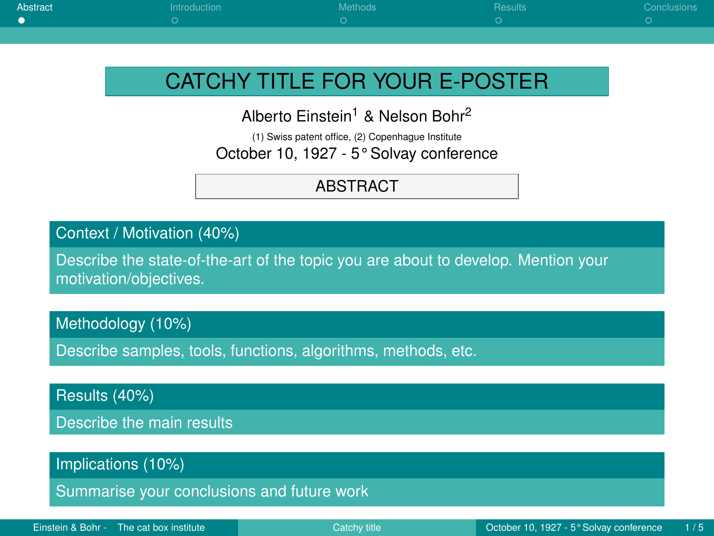<span id="page-0-0"></span>

| <b>Abstract</b> | introduction | <b>Methods</b> | <b>Results</b> | Conclusions |
|-----------------|--------------|----------------|----------------|-------------|
|                 |              |                |                |             |
|                 |              |                |                |             |

# CATCHY TITLE FOR YOUR E-POSTER

Alberto Einstein<sup>1</sup> & Nelson Bohr<sup>2</sup>

(1) Swiss patent office, (2) Copenhague Institute October 10, 1927 - 5° Solvay conference

#### ABSTRACT

Context / Motivation (40%)

Describe the state-of-the-art of the topic you are about to develop. Mention your motivation/objectives.

Methodology (10%)

Describe samples, tools, functions, algorithms, methods, etc.

Results (40%)

Describe the main results

Implications (10%)

Summarise your conclusions and future work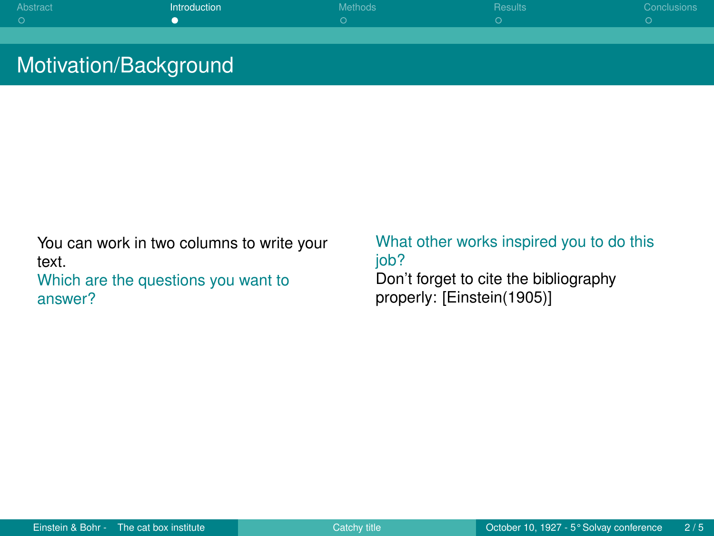<span id="page-1-0"></span>

| Abstract | Introduction | Methods | Results | Conclusions |
|----------|--------------|---------|---------|-------------|
|          |              |         |         |             |
|          |              |         |         |             |
|          |              |         |         |             |

### Motivation/Background

You can work in two columns to write your text. Which are the questions you want to answer?

What other works inspired you to do this job? Don't forget to cite the bibliography properly: [\[Einstein\(1905\)\]](#page-4-1)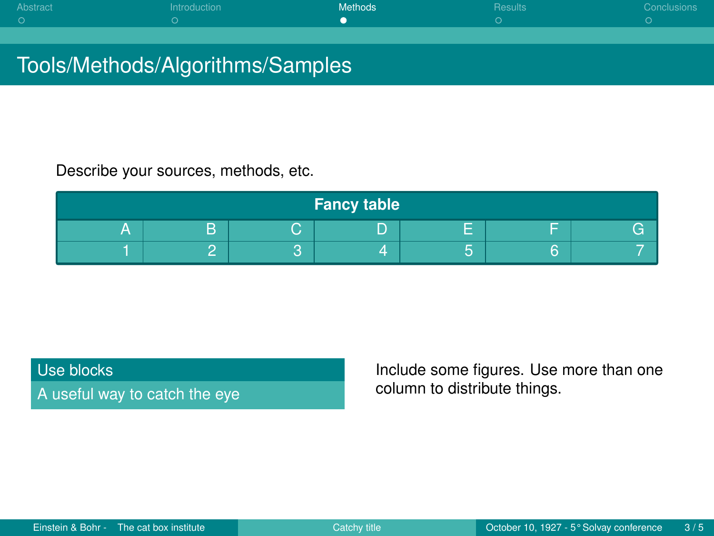<span id="page-2-0"></span>

| Abstract | Introduction | Methods <sup>'</sup> | <b>Results</b> | Conclusions |
|----------|--------------|----------------------|----------------|-------------|
|          |              |                      |                |             |
|          |              |                      |                |             |
|          |              |                      |                |             |

## Tools/Methods/Algorithms/Samples

Describe your sources, methods, etc.

| Fancy table |   |            |   |  |   |  |
|-------------|---|------------|---|--|---|--|
| ⋍           | D | $\sqrt{2}$ | - |  |   |  |
|             |   |            |   |  | ◠ |  |

#### Use blocks

A useful way to catch the eye

Include some figures. Use more than one column to distribute things.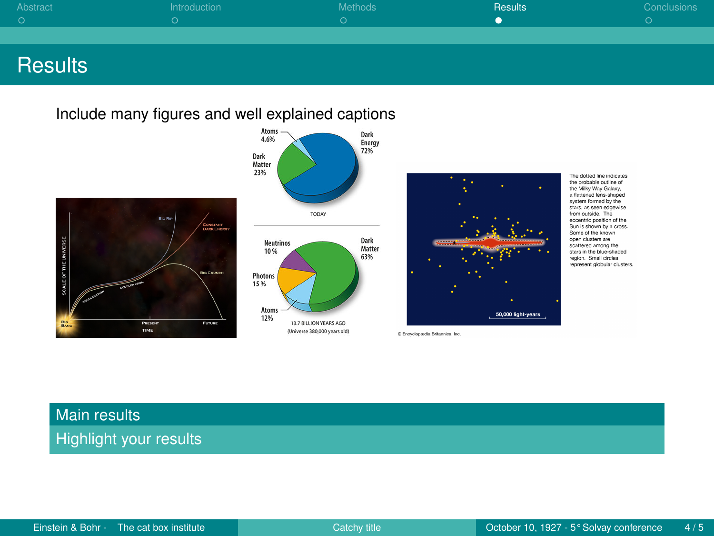<span id="page-3-0"></span>

| Abstract | Introduction | Methods | Results | Conclusions |
|----------|--------------|---------|---------|-------------|
|          |              |         |         |             |
|          |              |         |         |             |
|          |              |         |         |             |

### **Results**

Include many figures and well explained captions



The dotted line indicates the probable outline of the Mile Way Galaxy a flattened lens-shaped s more not anti-analysis stars, as seen edgewise from outside. The ecoentric position of the Sun is shown by a cross. Some of the known open clusters are scattered among the stars in the blue-shaded region. Small circles represent alobubir clusters

### Main results

Highlight your results